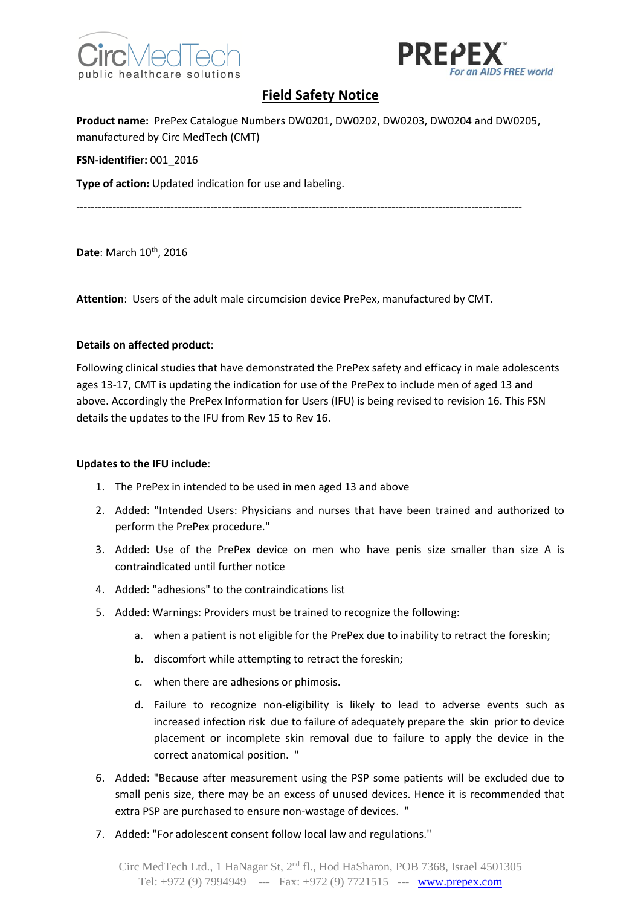



# **Field Safety Notice**

**Product name:** PrePex Catalogue Numbers DW0201, DW0202, DW0203, DW0204 and DW0205, manufactured by Circ MedTech (CMT)

**FSN-identifier:** 001\_2016

**Type of action:** Updated indication for use and labeling.

---------------------------------------------------------------------------------------------------------------------------

Date: March 10<sup>th</sup>, 2016

**Attention**: Users of the adult male circumcision device PrePex, manufactured by CMT.

### **Details on affected product**:

Following clinical studies that have demonstrated the PrePex safety and efficacy in male adolescents ages 13-17, CMT is updating the indication for use of the PrePex to include men of aged 13 and above. Accordingly the PrePex Information for Users (IFU) is being revised to revision 16. This FSN details the updates to the IFU from Rev 15 to Rev 16.

#### **Updates to the IFU include**:

- 1. The PrePex in intended to be used in men aged 13 and above
- 2. Added: "Intended Users: Physicians and nurses that have been trained and authorized to perform the PrePex procedure."
- 3. Added: Use of the PrePex device on men who have penis size smaller than size A is contraindicated until further notice
- 4. Added: "adhesions" to the contraindications list
- 5. Added: Warnings: Providers must be trained to recognize the following:
	- a. when a patient is not eligible for the PrePex due to inability to retract the foreskin;
	- b. discomfort while attempting to retract the foreskin;
	- c. when there are adhesions or phimosis.
	- d. Failure to recognize non-eligibility is likely to lead to adverse events such as increased infection risk due to failure of adequately prepare the skin prior to device placement or incomplete skin removal due to failure to apply the device in the correct anatomical position. "
- 6. Added: "Because after measurement using the PSP some patients will be excluded due to small penis size, there may be an excess of unused devices. Hence it is recommended that extra PSP are purchased to ensure non-wastage of devices. "
- 7. Added: "For adolescent consent follow local law and regulations."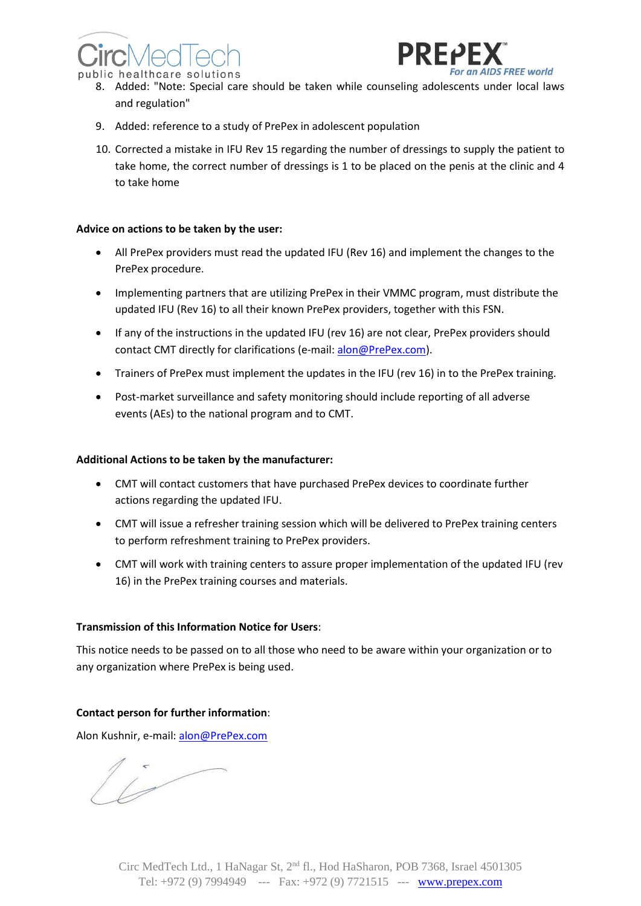



- 8. Added: "Note: Special care should be taken while counseling adolescents under local laws and regulation"
- 9. Added: reference to a study of PrePex in adolescent population
- 10. Corrected a mistake in IFU Rev 15 regarding the number of dressings to supply the patient to take home, the correct number of dressings is 1 to be placed on the penis at the clinic and 4 to take home

#### **Advice on actions to be taken by the user:**

- All PrePex providers must read the updated IFU (Rev 16) and implement the changes to the PrePex procedure.
- Implementing partners that are utilizing PrePex in their VMMC program, must distribute the updated IFU (Rev 16) to all their known PrePex providers, together with this FSN.
- If any of the instructions in the updated IFU (rev 16) are not clear, PrePex providers should contact CMT directly for clarifications (e-mail[: alon@PrePex.com\)](mailto:alon@PrePex.com).
- Trainers of PrePex must implement the updates in the IFU (rev 16) in to the PrePex training.
- Post-market surveillance and safety monitoring should include reporting of all adverse events (AEs) to the national program and to CMT.

#### **Additional Actions to be taken by the manufacturer:**

- CMT will contact customers that have purchased PrePex devices to coordinate further actions regarding the updated IFU.
- CMT will issue a refresher training session which will be delivered to PrePex training centers to perform refreshment training to PrePex providers.
- CMT will work with training centers to assure proper implementation of the updated IFU (rev 16) in the PrePex training courses and materials.

#### **Transmission of this Information Notice for Users**:

This notice needs to be passed on to all those who need to be aware within your organization or to any organization where PrePex is being used.

## **Contact person for further information**:

Alon Kushnir, e-mail: [alon@PrePex.com](mailto:alon@PrePex.com)